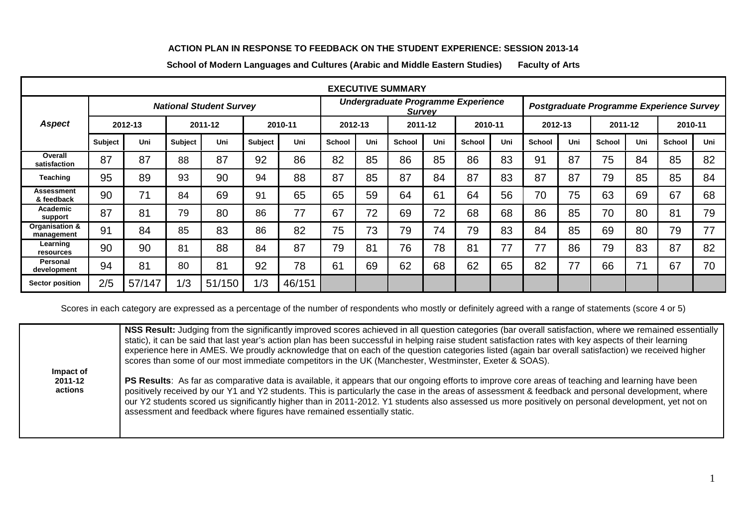## **ACTION PLAN IN RESPONSE TO FEEDBACK ON THE STUDENT EXPERIENCE: SESSION 2013-14**

**School of Modern Languages and Cultures (Arabic and Middle Eastern Studies) Faculty of Arts**

| <b>EXECUTIVE SUMMARY</b>        |                                |        |                    |        |                                                     |        |               |         |                                          |                    |               |     |         |     |               |     |        |     |
|---------------------------------|--------------------------------|--------|--------------------|--------|-----------------------------------------------------|--------|---------------|---------|------------------------------------------|--------------------|---------------|-----|---------|-----|---------------|-----|--------|-----|
|                                 | <b>National Student Survey</b> |        |                    |        | Undergraduate Programme Experience<br><b>Survey</b> |        |               |         | Postgraduate Programme Experience Survey |                    |               |     |         |     |               |     |        |     |
| <b>Aspect</b><br>2012-13        |                                |        | 2011-12<br>2010-11 |        | 2012-13                                             |        |               | 2011-12 |                                          | 2010-11<br>2012-13 |               |     | 2011-12 |     | 2010-11       |     |        |     |
|                                 | <b>Subject</b>                 | Uni    | Subject            | Uni    | <b>Subject</b>                                      | Uni    | <b>School</b> | Uni     | <b>School</b>                            | Uni                | <b>School</b> | Uni | School  | Uni | <b>School</b> | Uni | School | Uni |
| Overall<br>satisfaction         | 87                             | 87     | 88                 | 87     | 92                                                  | 86     | 82            | 85      | 86                                       | 85                 | 86            | 83  | 91      | 87  | 75            | 84  | 85     | 82  |
| <b>Teaching</b>                 | 95                             | 89     | 93                 | 90     | 94                                                  | 88     | 87            | 85      | 87                                       | 84                 | 87            | 83  | 87      | 87  | 79            | 85  | 85     | 84  |
| <b>Assessment</b><br>& feedback | 90                             | 71     | 84                 | 69     | 91                                                  | 65     | 65            | 59      | 64                                       | 61                 | 64            | 56  | 70      | 75  | 63            | 69  | 67     | 68  |
| Academic<br>support             | 87                             | 81     | 79                 | 80     | 86                                                  | 77     | 67            | 72      | 69                                       | 72                 | 68            | 68  | 86      | 85  | 70            | 80  | 81     | 79  |
| Organisation &<br>management    | 91                             | 84     | 85                 | 83     | 86                                                  | 82     | 75            | 73      | 79                                       | 74                 | 79            | 83  | 84      | 85  | 69            | 80  | 79     | 77  |
| Learning<br>resources           | 90                             | 90     | 81                 | 88     | 84                                                  | 87     | 79            | 81      | 76                                       | 78                 | 81            | 77  | 77      | 86  | 79            | 83  | 87     | 82  |
| Personal<br>development         | 94                             | 81     | 80                 | 81     | 92                                                  | 78     | 61            | 69      | 62                                       | 68                 | 62            | 65  | 82      | 77  | 66            | 71  | 67     | 70  |
| <b>Sector position</b>          | 2/5                            | 57/147 | 1/3                | 51/150 | 1/3                                                 | 46/151 |               |         |                                          |                    |               |     |         |     |               |     |        |     |

Scores in each category are expressed as a percentage of the number of respondents who mostly or definitely agreed with a range of statements (score 4 or 5)

|                                 | NSS Result: Judging from the significantly improved scores achieved in all question categories (bar overall satisfaction, where we remained essentially<br>static), it can be said that last year's action plan has been successful in helping raise student satisfaction rates with key aspects of their learning<br>experience here in AMES. We proudly acknowledge that on each of the question categories listed (again bar overall satisfaction) we received higher<br>scores than some of our most immediate competitors in the UK (Manchester, Westminster, Exeter & SOAS). |
|---------------------------------|------------------------------------------------------------------------------------------------------------------------------------------------------------------------------------------------------------------------------------------------------------------------------------------------------------------------------------------------------------------------------------------------------------------------------------------------------------------------------------------------------------------------------------------------------------------------------------|
| Impact of<br>2011-12<br>actions | PS Results: As far as comparative data is available, it appears that our ongoing efforts to improve core areas of teaching and learning have been<br>positively received by our Y1 and Y2 students. This is particularly the case in the areas of assessment & feedback and personal development, where<br>our Y2 students scored us significantly higher than in 2011-2012. Y1 students also assessed us more positively on personal development, yet not on<br>assessment and feedback where figures have remained essentially static.                                           |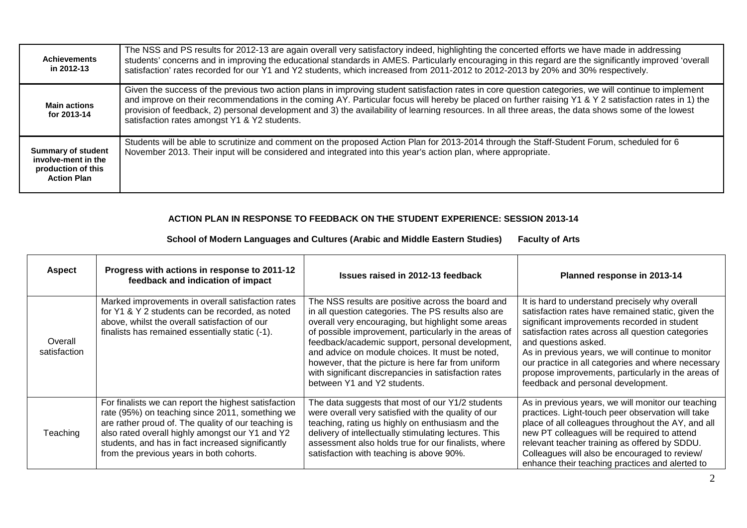| <b>Achievements</b><br>in 2012-13                                                            | The NSS and PS results for 2012-13 are again overall very satisfactory indeed, highlighting the concerted efforts we have made in addressing<br>students' concerns and in improving the educational standards in AMES. Particularly encouraging in this regard are the significantly improved 'overall<br>satisfaction' rates recorded for our Y1 and Y2 students, which increased from 2011-2012 to 2012-2013 by 20% and 30% respectively.                                                                            |
|----------------------------------------------------------------------------------------------|------------------------------------------------------------------------------------------------------------------------------------------------------------------------------------------------------------------------------------------------------------------------------------------------------------------------------------------------------------------------------------------------------------------------------------------------------------------------------------------------------------------------|
| <b>Main actions</b><br>for 2013-14                                                           | Given the success of the previous two action plans in improving student satisfaction rates in core question categories, we will continue to implement<br>and improve on their recommendations in the coming AY. Particular focus will hereby be placed on further raising Y1 & Y 2 satisfaction rates in 1) the<br>provision of feedback, 2) personal development and 3) the availability of learning resources. In all three areas, the data shows some of the lowest<br>satisfaction rates amongst Y1 & Y2 students. |
| <b>Summary of student</b><br>involve-ment in the<br>production of this<br><b>Action Plan</b> | Students will be able to scrutinize and comment on the proposed Action Plan for 2013-2014 through the Staff-Student Forum, scheduled for 6<br>November 2013. Their input will be considered and integrated into this year's action plan, where appropriate.                                                                                                                                                                                                                                                            |

## **ACTION PLAN IN RESPONSE TO FEEDBACK ON THE STUDENT EXPERIENCE: SESSION 2013-14**

**School of Modern Languages and Cultures (Arabic and Middle Eastern Studies) Faculty of Arts**

| <b>Aspect</b>           | Progress with actions in response to 2011-12<br>feedback and indication of impact                                                                                                                                                                                                                                  | Issues raised in 2012-13 feedback                                                                                                                                                                                                                                                                                                                                                                                                                                           | Planned response in 2013-14                                                                                                                                                                                                                                                                                                                                                                                                              |
|-------------------------|--------------------------------------------------------------------------------------------------------------------------------------------------------------------------------------------------------------------------------------------------------------------------------------------------------------------|-----------------------------------------------------------------------------------------------------------------------------------------------------------------------------------------------------------------------------------------------------------------------------------------------------------------------------------------------------------------------------------------------------------------------------------------------------------------------------|------------------------------------------------------------------------------------------------------------------------------------------------------------------------------------------------------------------------------------------------------------------------------------------------------------------------------------------------------------------------------------------------------------------------------------------|
| Overall<br>satisfaction | Marked improvements in overall satisfaction rates<br>for Y1 & Y 2 students can be recorded, as noted<br>above, whilst the overall satisfaction of our<br>finalists has remained essentially static (-1).                                                                                                           | The NSS results are positive across the board and<br>in all question categories. The PS results also are<br>overall very encouraging, but highlight some areas<br>of possible improvement, particularly in the areas of<br>feedback/academic support, personal development,<br>and advice on module choices. It must be noted,<br>however, that the picture is here far from uniform<br>with significant discrepancies in satisfaction rates<br>between Y1 and Y2 students. | It is hard to understand precisely why overall<br>satisfaction rates have remained static, given the<br>significant improvements recorded in student<br>satisfaction rates across all question categories<br>and questions asked.<br>As in previous years, we will continue to monitor<br>our practice in all categories and where necessary<br>propose improvements, particularly in the areas of<br>feedback and personal development. |
| Teaching                | For finalists we can report the highest satisfaction<br>rate (95%) on teaching since 2011, something we<br>are rather proud of. The quality of our teaching is<br>also rated overall highly amongst our Y1 and Y2<br>students, and has in fact increased significantly<br>from the previous years in both cohorts. | The data suggests that most of our Y1/2 students<br>were overall very satisfied with the quality of our<br>teaching, rating us highly on enthusiasm and the<br>delivery of intellectually stimulating lectures. This<br>assessment also holds true for our finalists, where<br>satisfaction with teaching is above 90%.                                                                                                                                                     | As in previous years, we will monitor our teaching<br>practices. Light-touch peer observation will take<br>place of all colleagues throughout the AY, and all<br>new PT colleagues will be required to attend<br>relevant teacher training as offered by SDDU.<br>Colleagues will also be encouraged to review/<br>enhance their teaching practices and alerted to                                                                       |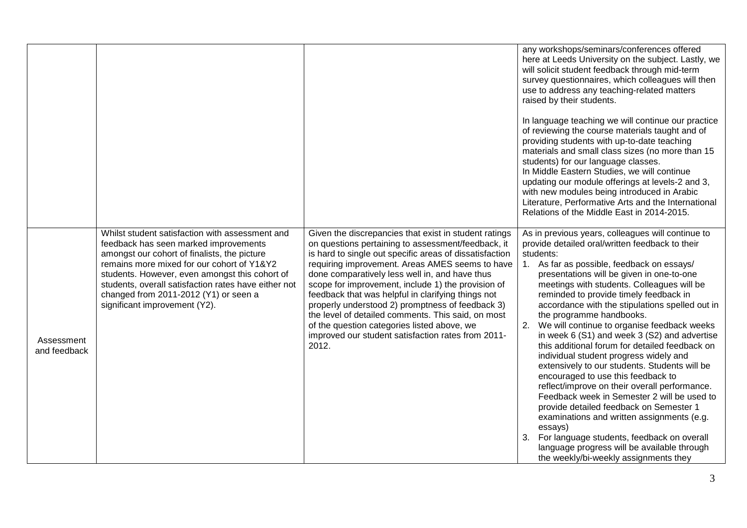|                            |                                                                                                                                                                                                                                                                                                                                                                            |                                                                                                                                                                                                                                                                                                                                                                                                                                                                                                                                                                                                                 | any workshops/seminars/conferences offered<br>here at Leeds University on the subject. Lastly, we<br>will solicit student feedback through mid-term<br>survey questionnaires, which colleagues will then<br>use to address any teaching-related matters<br>raised by their students.<br>In language teaching we will continue our practice<br>of reviewing the course materials taught and of<br>providing students with up-to-date teaching<br>materials and small class sizes (no more than 15<br>students) for our language classes.<br>In Middle Eastern Studies, we will continue<br>updating our module offerings at levels-2 and 3,<br>with new modules being introduced in Arabic<br>Literature, Performative Arts and the International<br>Relations of the Middle East in 2014-2015.                                                                                                                                                                                                                        |
|----------------------------|----------------------------------------------------------------------------------------------------------------------------------------------------------------------------------------------------------------------------------------------------------------------------------------------------------------------------------------------------------------------------|-----------------------------------------------------------------------------------------------------------------------------------------------------------------------------------------------------------------------------------------------------------------------------------------------------------------------------------------------------------------------------------------------------------------------------------------------------------------------------------------------------------------------------------------------------------------------------------------------------------------|-----------------------------------------------------------------------------------------------------------------------------------------------------------------------------------------------------------------------------------------------------------------------------------------------------------------------------------------------------------------------------------------------------------------------------------------------------------------------------------------------------------------------------------------------------------------------------------------------------------------------------------------------------------------------------------------------------------------------------------------------------------------------------------------------------------------------------------------------------------------------------------------------------------------------------------------------------------------------------------------------------------------------|
| Assessment<br>and feedback | Whilst student satisfaction with assessment and<br>feedback has seen marked improvements<br>amongst our cohort of finalists, the picture<br>remains more mixed for our cohort of Y1&Y2<br>students. However, even amongst this cohort of<br>students, overall satisfaction rates have either not<br>changed from 2011-2012 (Y1) or seen a<br>significant improvement (Y2). | Given the discrepancies that exist in student ratings<br>on questions pertaining to assessment/feedback, it<br>is hard to single out specific areas of dissatisfaction<br>requiring improvement. Areas AMES seems to have<br>done comparatively less well in, and have thus<br>scope for improvement, include 1) the provision of<br>feedback that was helpful in clarifying things not<br>properly understood 2) promptness of feedback 3)<br>the level of detailed comments. This said, on most<br>of the question categories listed above, we<br>improved our student satisfaction rates from 2011-<br>2012. | As in previous years, colleagues will continue to<br>provide detailed oral/written feedback to their<br>students:<br>1. As far as possible, feedback on essays/<br>presentations will be given in one-to-one<br>meetings with students. Colleagues will be<br>reminded to provide timely feedback in<br>accordance with the stipulations spelled out in<br>the programme handbooks.<br>2. We will continue to organise feedback weeks<br>in week 6 (S1) and week 3 (S2) and advertise<br>this additional forum for detailed feedback on<br>individual student progress widely and<br>extensively to our students. Students will be<br>encouraged to use this feedback to<br>reflect/improve on their overall performance.<br>Feedback week in Semester 2 will be used to<br>provide detailed feedback on Semester 1<br>examinations and written assignments (e.g.<br>essays)<br>3. For language students, feedback on overall<br>language progress will be available through<br>the weekly/bi-weekly assignments they |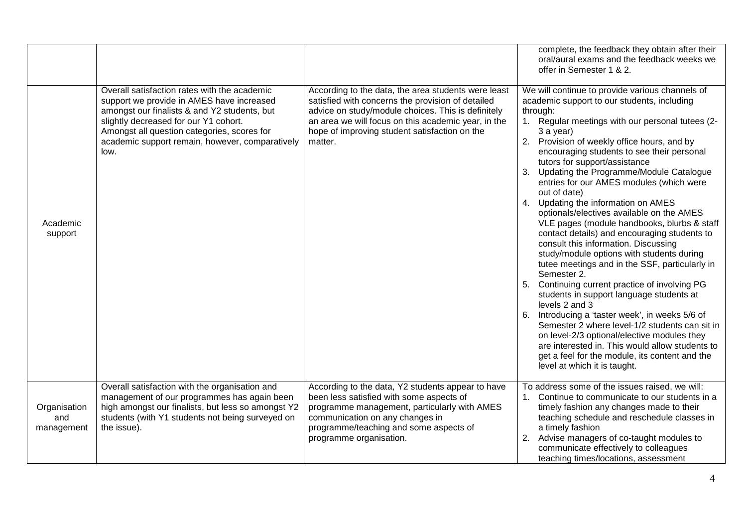|                                   |                                                                                                                                                                                                                                                                                              |                                                                                                                                                                                                                                                                                   | complete, the feedback they obtain after their<br>oral/aural exams and the feedback weeks we<br>offer in Semester 1 & 2.                                                                                                                                                                                                                                                                                                                                                                                                                                                                                                                                                                                                                                                                                                                                                                                                                                                                                                                                                                                                                                                    |
|-----------------------------------|----------------------------------------------------------------------------------------------------------------------------------------------------------------------------------------------------------------------------------------------------------------------------------------------|-----------------------------------------------------------------------------------------------------------------------------------------------------------------------------------------------------------------------------------------------------------------------------------|-----------------------------------------------------------------------------------------------------------------------------------------------------------------------------------------------------------------------------------------------------------------------------------------------------------------------------------------------------------------------------------------------------------------------------------------------------------------------------------------------------------------------------------------------------------------------------------------------------------------------------------------------------------------------------------------------------------------------------------------------------------------------------------------------------------------------------------------------------------------------------------------------------------------------------------------------------------------------------------------------------------------------------------------------------------------------------------------------------------------------------------------------------------------------------|
| Academic<br>support               | Overall satisfaction rates with the academic<br>support we provide in AMES have increased<br>amongst our finalists & and Y2 students, but<br>slightly decreased for our Y1 cohort.<br>Amongst all question categories, scores for<br>academic support remain, however, comparatively<br>low. | According to the data, the area students were least<br>satisfied with concerns the provision of detailed<br>advice on study/module choices. This is definitely<br>an area we will focus on this academic year, in the<br>hope of improving student satisfaction on the<br>matter. | We will continue to provide various channels of<br>academic support to our students, including<br>through:<br>1. Regular meetings with our personal tutees (2-<br>3 a year)<br>2. Provision of weekly office hours, and by<br>encouraging students to see their personal<br>tutors for support/assistance<br>Updating the Programme/Module Catalogue<br>3.<br>entries for our AMES modules (which were<br>out of date)<br>4. Updating the information on AMES<br>optionals/electives available on the AMES<br>VLE pages (module handbooks, blurbs & staff<br>contact details) and encouraging students to<br>consult this information. Discussing<br>study/module options with students during<br>tutee meetings and in the SSF, particularly in<br>Semester 2.<br>Continuing current practice of involving PG<br>5.<br>students in support language students at<br>levels 2 and 3<br>6. Introducing a 'taster week', in weeks 5/6 of<br>Semester 2 where level-1/2 students can sit in<br>on level-2/3 optional/elective modules they<br>are interested in. This would allow students to<br>get a feel for the module, its content and the<br>level at which it is taught. |
| Organisation<br>and<br>management | Overall satisfaction with the organisation and<br>management of our programmes has again been<br>high amongst our finalists, but less so amongst Y2<br>students (with Y1 students not being surveyed on<br>the issue).                                                                       | According to the data, Y2 students appear to have<br>been less satisfied with some aspects of<br>programme management, particularly with AMES<br>communication on any changes in<br>programme/teaching and some aspects of<br>programme organisation.                             | To address some of the issues raised, we will:<br>1. Continue to communicate to our students in a<br>timely fashion any changes made to their<br>teaching schedule and reschedule classes in<br>a timely fashion<br>Advise managers of co-taught modules to<br>communicate effectively to colleagues<br>teaching times/locations, assessment                                                                                                                                                                                                                                                                                                                                                                                                                                                                                                                                                                                                                                                                                                                                                                                                                                |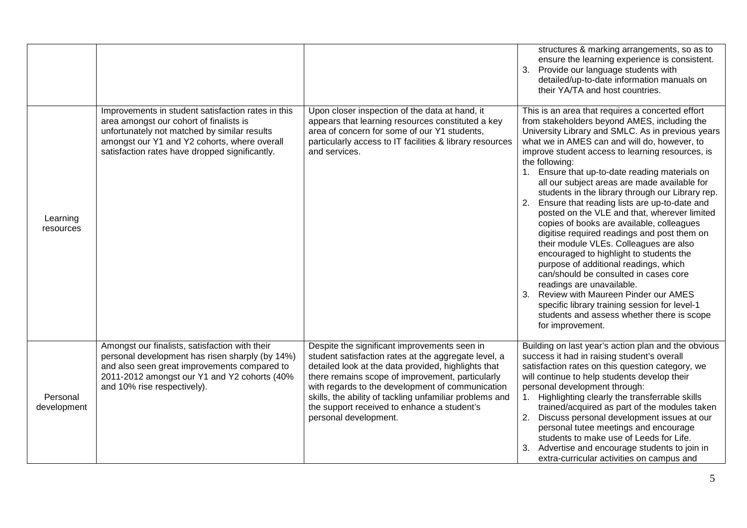|                         |                                                                                                                                                                                                                                                 |                                                                                                                                                                                                                                                                                                                                                                                                        | structures & marking arrangements, so as to<br>ensure the learning experience is consistent.<br>Provide our language students with<br>3.<br>detailed/up-to-date information manuals on<br>their YA/TA and host countries.                                                                                                                                                                                                                                                                                                                                                                                                                                                                                                                                                                                                                                                                                                                                                                               |
|-------------------------|-------------------------------------------------------------------------------------------------------------------------------------------------------------------------------------------------------------------------------------------------|--------------------------------------------------------------------------------------------------------------------------------------------------------------------------------------------------------------------------------------------------------------------------------------------------------------------------------------------------------------------------------------------------------|---------------------------------------------------------------------------------------------------------------------------------------------------------------------------------------------------------------------------------------------------------------------------------------------------------------------------------------------------------------------------------------------------------------------------------------------------------------------------------------------------------------------------------------------------------------------------------------------------------------------------------------------------------------------------------------------------------------------------------------------------------------------------------------------------------------------------------------------------------------------------------------------------------------------------------------------------------------------------------------------------------|
| Learning<br>resources   | Improvements in student satisfaction rates in this<br>area amongst our cohort of finalists is<br>unfortunately not matched by similar results<br>amongst our Y1 and Y2 cohorts, where overall<br>satisfaction rates have dropped significantly. | Upon closer inspection of the data at hand, it<br>appears that learning resources constituted a key<br>area of concern for some of our Y1 students,<br>particularly access to IT facilities & library resources<br>and services.                                                                                                                                                                       | This is an area that requires a concerted effort<br>from stakeholders beyond AMES, including the<br>University Library and SMLC. As in previous years<br>what we in AMES can and will do, however, to<br>improve student access to learning resources, is<br>the following:<br>1. Ensure that up-to-date reading materials on<br>all our subject areas are made available for<br>students in the library through our Library rep.<br>Ensure that reading lists are up-to-date and<br>2.<br>posted on the VLE and that, wherever limited<br>copies of books are available, colleagues<br>digitise required readings and post them on<br>their module VLEs. Colleagues are also<br>encouraged to highlight to students the<br>purpose of additional readings, which<br>can/should be consulted in cases core<br>readings are unavailable.<br>3.<br>Review with Maureen Pinder our AMES<br>specific library training session for level-1<br>students and assess whether there is scope<br>for improvement. |
| Personal<br>development | Amongst our finalists, satisfaction with their<br>personal development has risen sharply (by 14%)<br>and also seen great improvements compared to<br>2011-2012 amongst our Y1 and Y2 cohorts (40%<br>and 10% rise respectively).                | Despite the significant improvements seen in<br>student satisfaction rates at the aggregate level, a<br>detailed look at the data provided, highlights that<br>there remains scope of improvement, particularly<br>with regards to the development of communication<br>skills, the ability of tackling unfamiliar problems and<br>the support received to enhance a student's<br>personal development. | Building on last year's action plan and the obvious<br>success it had in raising student's overall<br>satisfaction rates on this question category, we<br>will continue to help students develop their<br>personal development through:<br>1. Highlighting clearly the transferrable skills<br>trained/acquired as part of the modules taken<br>Discuss personal development issues at our<br>2.<br>personal tutee meetings and encourage<br>students to make use of Leeds for Life.<br>3. Advertise and encourage students to join in<br>extra-curricular activities on campus and                                                                                                                                                                                                                                                                                                                                                                                                                     |